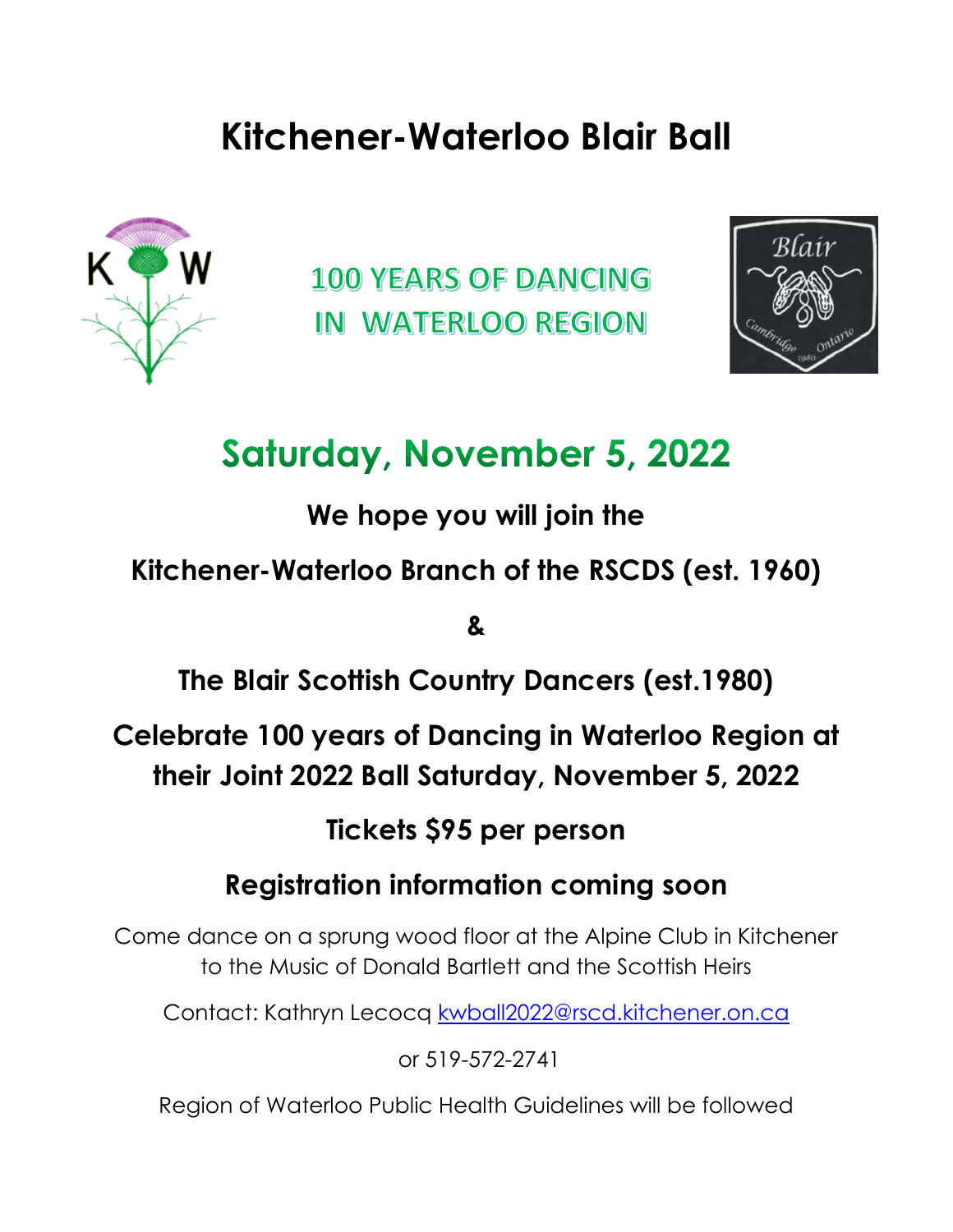## **Kitchener-Waterloo Blair Ball**



**100 YEARS OF DANCING** IN WATERLOO REGION



## **Saturday, November 5, 2022**

**We hope you will join the**

**Kitchener-Waterloo Branch of the RSCDS (est. 1960)**

**&**

**The Blair Scottish Country Dancers (est.1980)**

**Celebrate 100 years of Dancing in Waterloo Region at their Joint 2022 Ball Saturday, November 5, 2022**

**Tickets \$95 per person**

**Registration information coming soon**

Come dance on a sprung wood floor at the Alpine Club in Kitchener to the Music of Donald Bartlett and the Scottish Heirs

Contact: Kathryn Lecocq [kwball2022@rscd.kitchener.on.ca](mailto:kwball2022@rscd.kitchener.on.ca)

or 519-572-2741

Region of Waterloo Public Health Guidelines will be followed